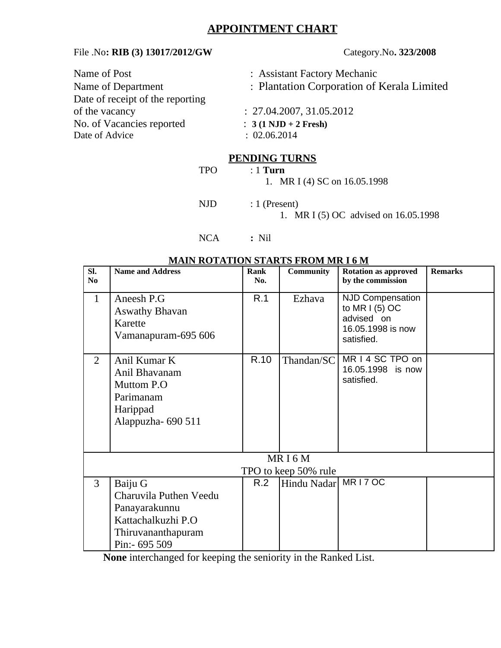## **APPOINTMENT CHART**

## File .No**: RIB (3) 13017/2012/GW** Category.No**. 323/2008**

| Name of Post                     | : Assistant Factory Mechanic               |  |  |  |
|----------------------------------|--------------------------------------------|--|--|--|
| Name of Department               | : Plantation Corporation of Kerala Limited |  |  |  |
| Date of receipt of the reporting |                                            |  |  |  |
| of the vacancy                   | : 27.04.2007, 31.05.2012                   |  |  |  |
| No. of Vacancies reported        | $: 3(1 \text{ NJD} + 2 \text{ Fresh})$     |  |  |  |
| Date of Advice                   | : 02.06.2014                               |  |  |  |
|                                  |                                            |  |  |  |

## **PENDING TURNS**

TPO : 1 **Turn**

1. MR I (4) SC on 16.05.1998

NJD : 1 (Present)

- 
- 1. MR I (5) OC advised on 16.05.1998

NCA **:** Nil

## **MAIN ROTATION STARTS FROM MR I 6 M**

| SI.<br>N <sub>0</sub> | <b>Name and Address</b>                                                                                          | <b>Rank</b><br>No. | <b>Community</b> | <b>Rotation as approved</b><br>by the commission                                    | <b>Remarks</b> |  |  |  |  |
|-----------------------|------------------------------------------------------------------------------------------------------------------|--------------------|------------------|-------------------------------------------------------------------------------------|----------------|--|--|--|--|
| $\mathbf{1}$          | Aneesh P.G<br><b>Aswathy Bhavan</b><br>Karette<br>Vamanapuram-695 606                                            | R.1                | Ezhava           | NJD Compensation<br>to MR $(5)$ OC<br>advised on<br>16.05.1998 is now<br>satisfied. |                |  |  |  |  |
| $\overline{2}$        | Anil Kumar K<br>Anil Bhavanam<br>Muttom P.O<br>Parimanam<br>Harippad<br>Alappuzha-690 511                        | R.10               | Thandan/SC       | MR I 4 SC TPO on<br>16.05.1998 is now<br>satisfied.                                 |                |  |  |  |  |
| MRI6M                 |                                                                                                                  |                    |                  |                                                                                     |                |  |  |  |  |
|                       | TPO to keep 50% rule                                                                                             |                    |                  |                                                                                     |                |  |  |  |  |
| 3                     | Baiju G<br>Charuvila Puthen Veedu<br>Panayarakunnu<br>Kattachalkuzhi P.O<br>Thiruvananthapuram<br>Pin: - 695 509 | R.2                | Hindu Nadar      | MR17OC                                                                              |                |  |  |  |  |

**None** interchanged for keeping the seniority in the Ranked List.